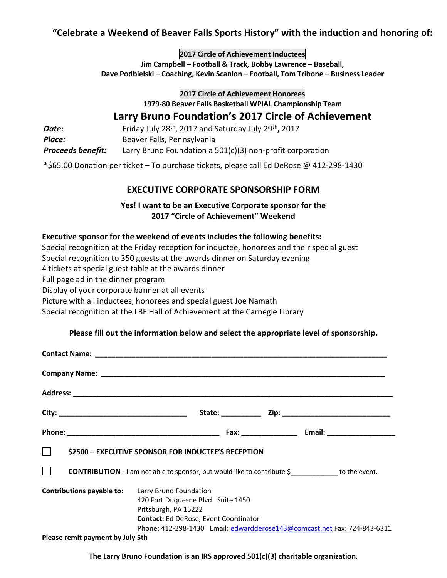# **"Celebrate a Weekend of Beaver Falls Sports History" with the induction and honoring of:**

**2017 Circle of Achievement Inductees**

**Jim Campbell – Football & Track, Bobby Lawrence – Baseball, Dave Podbielski – Coaching, Kevin Scanlon – Football, Tom Tribone – Business Leader**

**2017 Circle of Achievement Honorees**

**1979-80 Beaver Falls Basketball WPIAL Championship Team**

# **Larry Bruno Foundation's 2017 Circle of Achievement**

| Date:                    | Friday July 28 <sup>th</sup> , 2017 and Saturday July 29 <sup>th</sup> , 2017 |
|--------------------------|-------------------------------------------------------------------------------|
| Place:                   | Beaver Falls, Pennsylvania                                                    |
| <b>Proceeds benefit:</b> | Larry Bruno Foundation a $501(c)(3)$ non-profit corporation                   |

\*\$65.00 Donation per ticket – To purchase tickets, please call Ed DeRose @ 412-298-1430

# **EXECUTIVE CORPORATE SPONSORSHIP FORM**

### **Yes! I want to be an Executive Corporate sponsor for the 2017 "Circle of Achievement" Weekend**

### **Executive sponsor for the weekend of events includes the following benefits:**

Special recognition at the Friday reception for inductee, honorees and their special guest

Special recognition to 350 guests at the awards dinner on Saturday evening

4 tickets at special guest table at the awards dinner

Full page ad in the dinner program

Display of your corporate banner at all events

Picture with all inductees, honorees and special guest Joe Namath

Special recognition at the LBF Hall of Achievement at the Carnegie Library

### **Please fill out the information below and select the appropriate level of sponsorship.**

| \$2500 - EXECUTIVE SPONSOR FOR INDUCTEE'S RECEPTION                                                                  |                                                                                                                                                                                   |  |
|----------------------------------------------------------------------------------------------------------------------|-----------------------------------------------------------------------------------------------------------------------------------------------------------------------------------|--|
| $\Box$<br><b>CONTRIBUTION</b> - I am not able to sponsor, but would like to contribute \$_____________ to the event. |                                                                                                                                                                                   |  |
| <b>Contributions payable to:</b> Larry Bruno Foundation                                                              | 420 Fort Duquesne Blvd Suite 1450<br>Pittsburgh, PA 15222<br>Contact: Ed DeRose, Event Coordinator<br>Phone: 412-298-1430    Email: edwardderose143@comcast.net Fax: 724-843-6311 |  |
| Please remit payment by July 5th                                                                                     |                                                                                                                                                                                   |  |

**The Larry Bruno Foundation is an IRS approved 501(c)(3) charitable organization.**